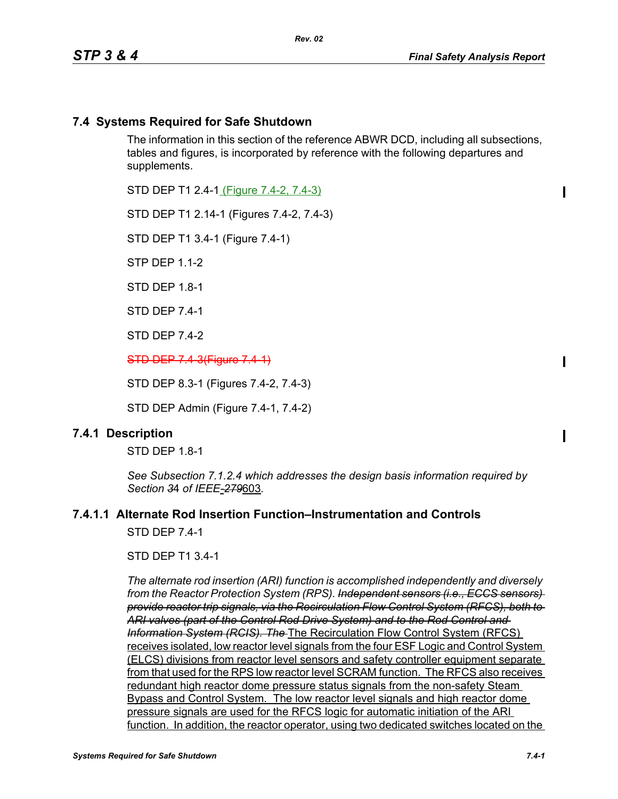*Rev. 02*

 $\blacksquare$ 

 $\blacksquare$ 

# **7.4 Systems Required for Safe Shutdown**

The information in this section of the reference ABWR DCD, including all subsections, tables and figures, is incorporated by reference with the following departures and supplements.

STD DEP T1 2.4-1 (Figure 7.4-2, 7.4-3)

STD DEP T1 2.14-1 (Figures 7.4-2, 7.4-3)

STD DEP T1 3.4-1 (Figure 7.4-1)

STP DFP 1 1-2

STD DFP 18-1

STD DEP 7.4-1

STD DEP 7.4-2

STD DEP 7.4-3(Figure 7.4-1)

STD DEP 8.3-1 (Figures 7.4-2, 7.4-3)

STD DEP Admin (Figure 7.4-1, 7.4-2)

### **7.4.1 Description**

STD DEP 1.8-1

*See Subsection 7.1.2.4 which addresses the design basis information required by Section 3*4 *of IEEE-279*603*.*

### **7.4.1.1 Alternate Rod Insertion Function–Instrumentation and Controls**

STD DFP 74-1

#### STD DEP T1 3.4-1

*The alternate rod insertion (ARI) function is accomplished independently and diversely from the Reactor Protection System (RPS). Independent sensors (i.e., ECCS sensors) provide reactor trip signals, via the Recirculation Flow Control System (RFCS), both to ARI valves (part of the Control Rod Drive System) and to the Rod Control and Information System (RCIS). The* The Recirculation Flow Control System (RFCS) receives isolated, low reactor level signals from the four ESF Logic and Control System (ELCS) divisions from reactor level sensors and safety controller equipment separate from that used for the RPS low reactor level SCRAM function. The RFCS also receives redundant high reactor dome pressure status signals from the non-safety Steam Bypass and Control System. The low reactor level signals and high reactor dome pressure signals are used for the RFCS logic for automatic initiation of the ARI function. In addition, the reactor operator, using two dedicated switches located on the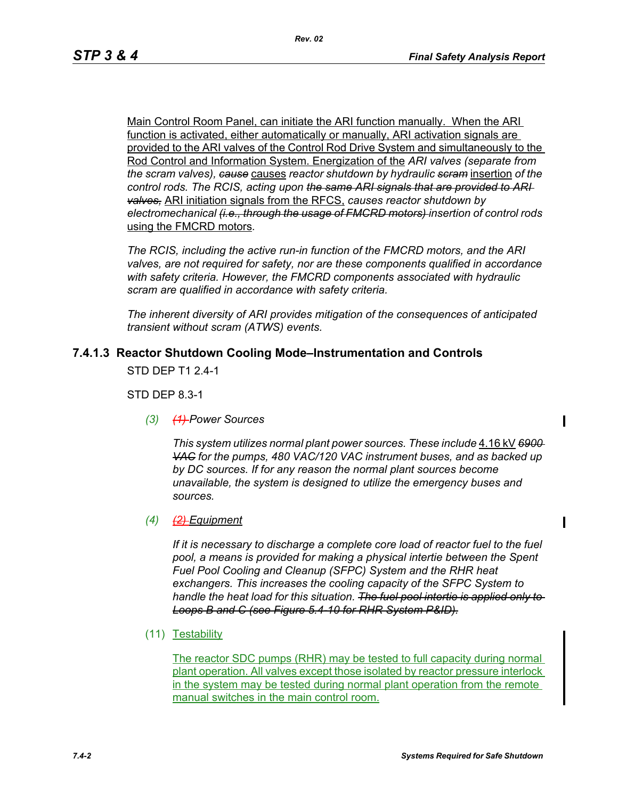Main Control Room Panel, can initiate the ARI function manually. When the ARI function is activated, either automatically or manually, ARI activation signals are provided to the ARI valves of the Control Rod Drive System and simultaneously to the Rod Control and Information System. Energization of the *ARI valves (separate from the scram valves), cause* causes *reactor shutdown by hydraulic scram* insertion *of the control rods. The RCIS, acting upon the same ARI signals that are provided to ARI valves,* ARI initiation signals from the RFCS, *causes reactor shutdown by electromechanical (i.e., through the usage of FMCRD motors) insertion of control rods*  using the FMCRD motors*.*

*The RCIS, including the active run-in function of the FMCRD motors, and the ARI valves, are not required for safety, nor are these components qualified in accordance with safety criteria. However, the FMCRD components associated with hydraulic scram are qualified in accordance with safety criteria.*

*The inherent diversity of ARI provides mitigation of the consequences of anticipated transient without scram (ATWS) events.*

# **7.4.1.3 Reactor Shutdown Cooling Mode–Instrumentation and Controls**

STD DEP T1 2.4-1

STD DEP 8.3-1

*(3) (1) Power Sources*

*This system utilizes normal plant power sources. These include* 4.16 kV *6900 VAC for the pumps, 480 VAC/120 VAC instrument buses, and as backed up by DC sources. If for any reason the normal plant sources become unavailable, the system is designed to utilize the emergency buses and sources.*

*(4) (2) Equipment*

*If it is necessary to discharge a complete core load of reactor fuel to the fuel pool, a means is provided for making a physical intertie between the Spent Fuel Pool Cooling and Cleanup (SFPC) System and the RHR heat exchangers. This increases the cooling capacity of the SFPC System to handle the heat load for this situation. The fuel pool intertie is applied only to Loops B and C (see Figure 5.4-10 for RHR System P&ID).*

(11) Testability

The reactor SDC pumps (RHR) may be tested to full capacity during normal plant operation. All valves except those isolated by reactor pressure interlock in the system may be tested during normal plant operation from the remote manual switches in the main control room.

П

 $\blacksquare$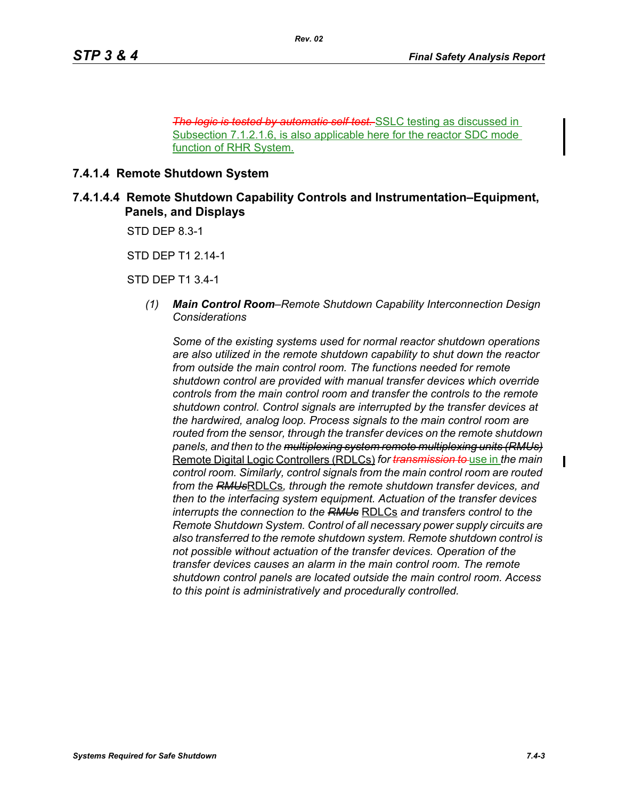*The low automatic self test.* SSLC testing as discussed in Subsection 7.1.2.1.6, is also applicable here for the reactor SDC mode function of RHR System.

#### **7.4.1.4 Remote Shutdown System**

**7.4.1.4.4 Remote Shutdown Capability Controls and Instrumentation–Equipment, Panels, and Displays**

STD DEP 8.3-1

STD DEP T1 2.14-1

STD DEP T1 3.4-1

*(1) Main Control Room–Remote Shutdown Capability Interconnection Design Considerations*

*Some of the existing systems used for normal reactor shutdown operations are also utilized in the remote shutdown capability to shut down the reactor from outside the main control room. The functions needed for remote shutdown control are provided with manual transfer devices which override controls from the main control room and transfer the controls to the remote shutdown control. Control signals are interrupted by the transfer devices at the hardwired, analog loop. Process signals to the main control room are routed from the sensor, through the transfer devices on the remote shutdown panels, and then to the multiplexing system remote multiplexing units (RMUs)* Remote Digital Logic Controllers (RDLCs) *for transmission to* use in *the main control room. Similarly, control signals from the main control room are routed from the RMUs*RDLCs*, through the remote shutdown transfer devices, and then to the interfacing system equipment. Actuation of the transfer devices interrupts the connection to the RMUs* RDLCs *and transfers control to the Remote Shutdown System. Control of all necessary power supply circuits are also transferred to the remote shutdown system. Remote shutdown control is not possible without actuation of the transfer devices. Operation of the transfer devices causes an alarm in the main control room. The remote shutdown control panels are located outside the main control room. Access to this point is administratively and procedurally controlled.*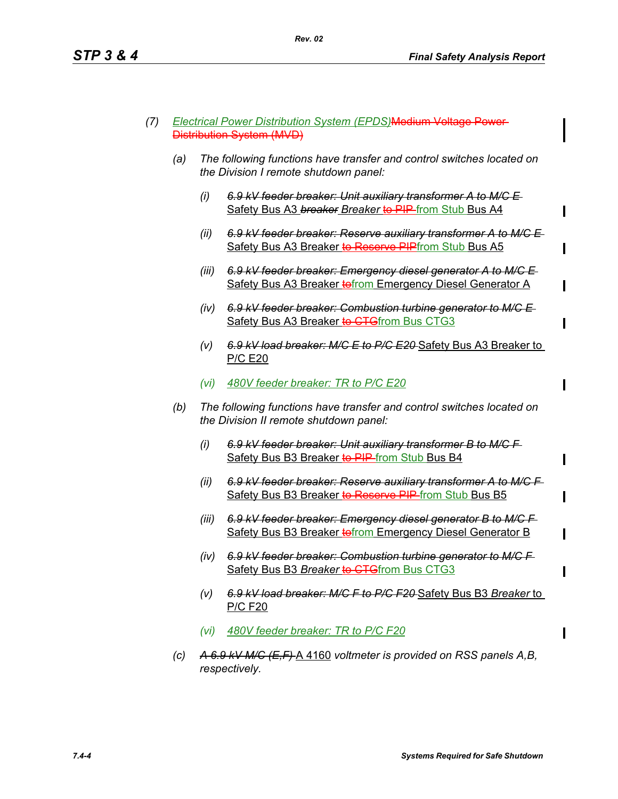- *(7) Electrical Power Distribution System (EPDS)*Medium Voltage Power Distribution System (MVD)
	- *(a) The following functions have transfer and control switches located on the Division I remote shutdown panel:*
		- *(i) 6.9 kV feeder breaker: Unit auxiliary transformer A to M/C E*  Safety Bus A3 *breaker Breaker* to PIP from Stub Bus A4
		- *(ii) 6.9 kV feeder breaker: Reserve auxiliary transformer A to M/C E*  Safety Bus A3 Breaker to Reserve PIPfrom Stub Bus A5
		- *(iii) 6.9 kV feeder breaker: Emergency diesel generator A to M/C E*  Safety Bus A3 Breaker to from Emergency Diesel Generator A
		- *(iv) 6.9 kV feeder breaker: Combustion turbine generator to M/C E*  Safety Bus A3 Breaker to CTGfrom Bus CTG3
		- *(v) 6.9 kV load breaker: M/C E to P/C E20* Safety Bus A3 Breaker to P/C E20
		- *(vi) 480V feeder breaker: TR to P/C E20*
	- *(b) The following functions have transfer and control switches located on the Division II remote shutdown panel:*
		- *(i) 6.9 kV feeder breaker: Unit auxiliary transformer B to M/C F*  Safety Bus B3 Breaker to PIP from Stub Bus B4
		- *(ii) 6.9 kV feeder breaker: Reserve auxiliary transformer A to M/C F*  Safety Bus B3 Breaker to Reserve PIP-from Stub Bus B5
		- *(iii) 6.9 kV feeder breaker: Emergency diesel generator B to M/C F*  Safety Bus B3 Breaker to from Emergency Diesel Generator B
		- *(iv) 6.9 kV feeder breaker: Combustion turbine generator to M/C F*  Safety Bus B3 Breaker to CTGfrom Bus CTG3
		- *(v) 6.9 kV load breaker: M/C F to P/C F20* Safety Bus B3 *Breaker* to P/C F20
		- *(vi) 480V feeder breaker: TR to P/C F20*
	- *(c) A 6.9 kV M/C (E,F)* A 4160 *voltmeter is provided on RSS panels A,B, respectively.*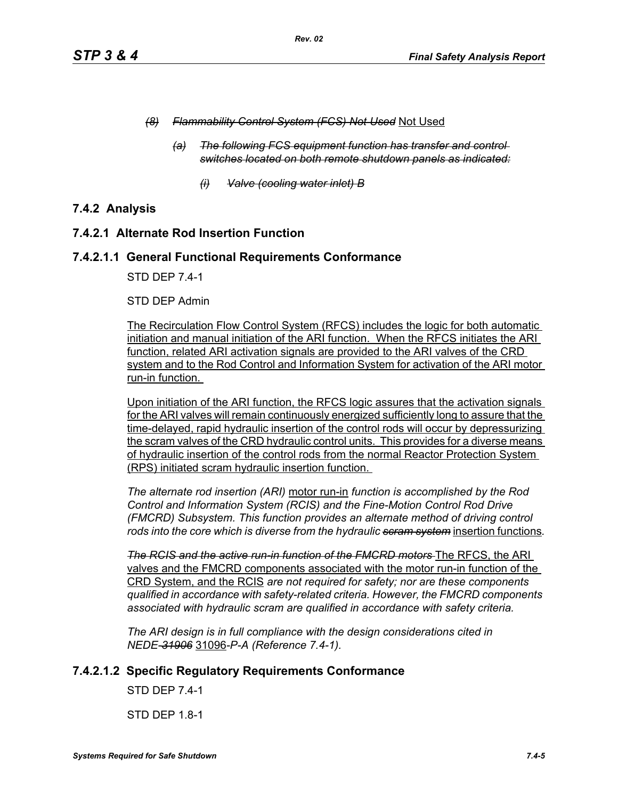- *(8) Flammability Control System (FCS) Not Used* Not Used
	- *(a) The following FCS equipment function has transfer and control switches located on both remote shutdown panels as indicated:*
		- *(i) Valve (cooling water inlet) B*

# **7.4.2 Analysis**

### **7.4.2.1 Alternate Rod Insertion Function**

### **7.4.2.1.1 General Functional Requirements Conformance**

STD DEP 7.4-1

#### STD DEP Admin

The Recirculation Flow Control System (RFCS) includes the logic for both automatic initiation and manual initiation of the ARI function. When the RFCS initiates the ARI function, related ARI activation signals are provided to the ARI valves of the CRD system and to the Rod Control and Information System for activation of the ARI motor run-in function.

Upon initiation of the ARI function, the RFCS logic assures that the activation signals for the ARI valves will remain continuously energized sufficiently long to assure that the time-delayed, rapid hydraulic insertion of the control rods will occur by depressurizing the scram valves of the CRD hydraulic control units. This provides for a diverse means of hydraulic insertion of the control rods from the normal Reactor Protection System (RPS) initiated scram hydraulic insertion function.

*The alternate rod insertion (ARI)* motor run-in *function is accomplished by the Rod Control and Information System (RCIS) and the Fine-Motion Control Rod Drive (FMCRD) Subsystem. This function provides an alternate method of driving control rods into the core which is diverse from the hydraulic scram system* insertion functions*.*

**The RCIS and the active run-in function of the FMCRD motors** The RFCS, the ARI valves and the FMCRD components associated with the motor run-in function of the CRD System, and the RCIS *are not required for safety; nor are these components qualified in accordance with safety-related criteria. However, the FMCRD components associated with hydraulic scram are qualified in accordance with safety criteria.*

*The ARI design is in full compliance with the design considerations cited in NEDE-31906* 31096*-P-A (Reference 7.4-1).* 

# **7.4.2.1.2 Specific Regulatory Requirements Conformance**

STD DEP 7.4-1

STD DEP 1.8-1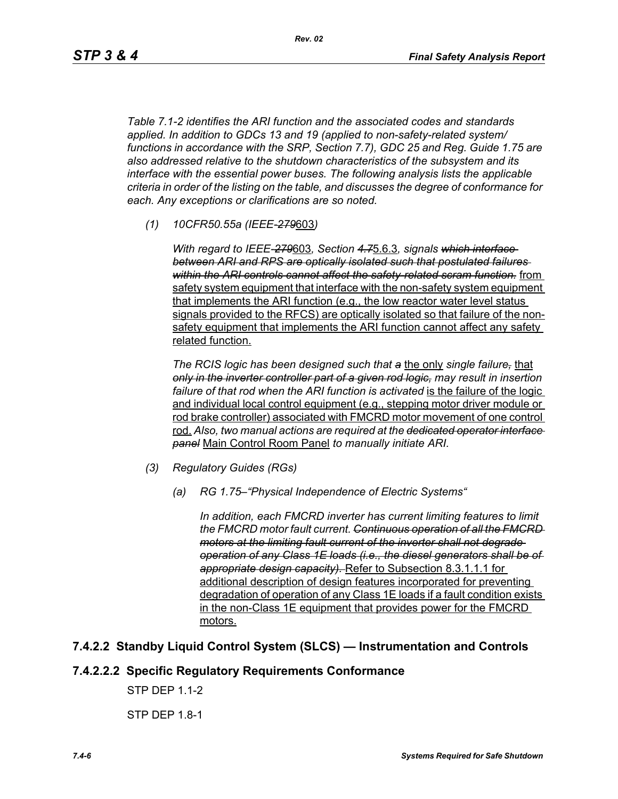*Rev. 02*

*Table 7.1-2 identifies the ARI function and the associated codes and standards applied. In addition to GDCs 13 and 19 (applied to non-safety-related system/ functions in accordance with the SRP, Section 7.7), GDC 25 and Reg. Guide 1.75 are also addressed relative to the shutdown characteristics of the subsystem and its interface with the essential power buses. The following analysis lists the applicable criteria in order of the listing on the table, and discusses the degree of conformance for each. Any exceptions or clarifications are so noted.*

*(1) 10CFR50.55a (IEEE-279*603*)*

*With regard to IEEE-279*603*, Section 4.7*5.6.3*, signals which interface between ARI and RPS are optically isolated such that postulated failures within the ARI controls cannot affect the safety-related scram function.* from safety system equipment that interface with the non-safety system equipment that implements the ARI function (e.g., the low reactor water level status signals provided to the RFCS) are optically isolated so that failure of the nonsafety equipment that implements the ARI function cannot affect any safety related function.

*The RCIS logic has been designed such that a* the only *single failure,* that *only in the inverter controller part of a given rod logic, may result in insertion*  failure of that rod when the ARI function is activated is the failure of the logic and individual local control equipment (e.g., stepping motor driver module or rod brake controller) associated with FMCRD motor movement of one control rod. *Also, two manual actions are required at the dedicated operator interface panel* Main Control Room Panel *to manually initiate ARI.* 

- *(3) Regulatory Guides (RGs)*
	- *(a) RG 1.75–"Physical Independence of Electric Systems"*

*In addition, each FMCRD inverter has current limiting features to limit the FMCRD motor fault current. Continuous operation of all the FMCRD motors at the limiting fault current of the inverter shall not degrade operation of any Class 1E loads (i.e., the diesel generators shall be of appropriate design capacity).* Refer to Subsection 8.3.1.1.1 for additional description of design features incorporated for preventing degradation of operation of any Class 1E loads if a fault condition exists in the non-Class 1E equipment that provides power for the FMCRD motors.

# **7.4.2.2 Standby Liquid Control System (SLCS) — Instrumentation and Controls**

# **7.4.2.2.2 Specific Regulatory Requirements Conformance**

STP DEP 1.1-2

STP DEP 1.8-1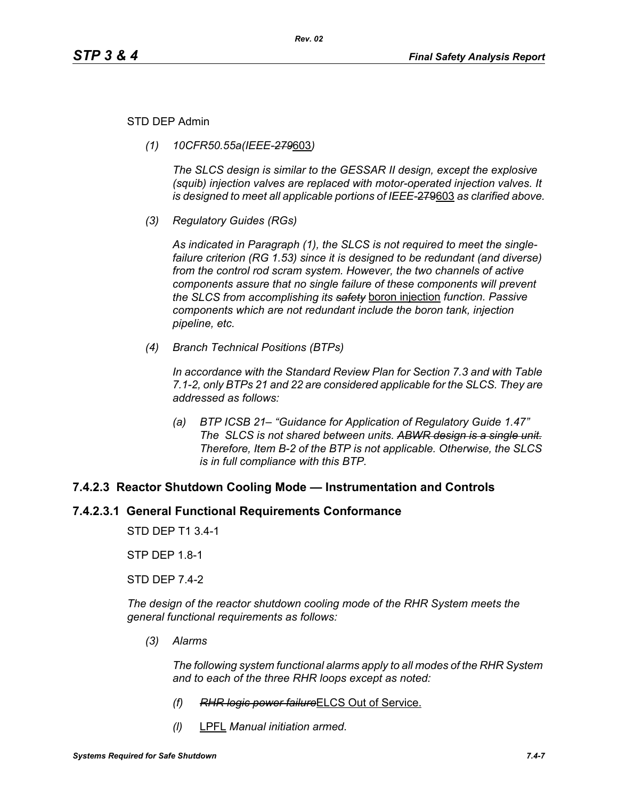#### STD DEP Admin

*(1) 10CFR50.55a(IEEE-279*603*)*

*The SLCS design is similar to the GESSAR II design, except the explosive (squib) injection valves are replaced with motor-operated injection valves. It is designed to meet all applicable portions of IEEE-*279603 *as clarified above.*

*(3) Regulatory Guides (RGs)*

*As indicated in Paragraph (1), the SLCS is not required to meet the singlefailure criterion (RG 1.53) since it is designed to be redundant (and diverse) from the control rod scram system. However, the two channels of active components assure that no single failure of these components will prevent the SLCS from accomplishing its safety* boron injection *function. Passive components which are not redundant include the boron tank, injection pipeline, etc.*

*(4) Branch Technical Positions (BTPs)*

*In accordance with the Standard Review Plan for Section 7.3 and with Table 7.1-2, only BTPs 21 and 22 are considered applicable for the SLCS. They are addressed as follows:*

*(a) BTP ICSB 21– "Guidance for Application of Regulatory Guide 1.47" The SLCS is not shared between units. ABWR design is a single unit. Therefore, Item B-2 of the BTP is not applicable. Otherwise, the SLCS is in full compliance with this BTP.*

### **7.4.2.3 Reactor Shutdown Cooling Mode — Instrumentation and Controls**

### **7.4.2.3.1 General Functional Requirements Conformance**

STD DEP T1 3.4-1

STP DEP 1.8-1

STD DEP 7.4-2

*The design of the reactor shutdown cooling mode of the RHR System meets the general functional requirements as follows:*

*(3) Alarms*

*The following system functional alarms apply to all modes of the RHR System and to each of the three RHR loops except as noted:*

- *(f) RHR logic power failure*ELCS Out of Service.
- *(l)* LPFL *Manual initiation armed.*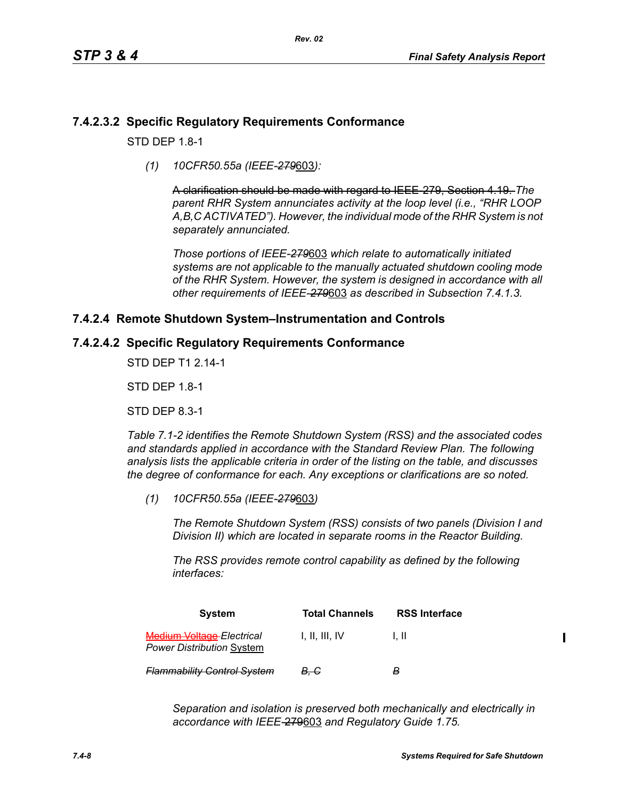# **7.4.2.3.2 Specific Regulatory Requirements Conformance**

 $STD$  DFP 1.8-1

*(1) 10CFR50.55a (IEEE-279*603*):*

A clarification should be made with regard to IEEE-279, Section 4.19. *The parent RHR System annunciates activity at the loop level (i.e., "RHR LOOP A,B,C ACTIVATED"). However, the individual mode of the RHR System is not separately annunciated.*

*Those portions of IEEE-279*603 *which relate to automatically initiated systems are not applicable to the manually actuated shutdown cooling mode of the RHR System. However, the system is designed in accordance with all other requirements of IEEE-279*603 *as described in Subsection 7.4.1.3.*

# **7.4.2.4 Remote Shutdown System–Instrumentation and Controls**

### **7.4.2.4.2 Specific Regulatory Requirements Conformance**

STD DEP T1 2.14-1

STD DEP 1.8-1

STD DEP 8.3-1

*Table 7.1-2 identifies the Remote Shutdown System (RSS) and the associated codes and standards applied in accordance with the Standard Review Plan. The following analysis lists the applicable criteria in order of the listing on the table, and discusses the degree of conformance for each. Any exceptions or clarifications are so noted.*

*(1) 10CFR50.55a (IEEE-279*603*)*

*The Remote Shutdown System (RSS) consists of two panels (Division I and Division II) which are located in separate rooms in the Reactor Building.*

*The RSS provides remote control capability as defined by the following interfaces:*

| <b>System</b>                                                             | <b>Total Channels</b> | <b>RSS Interface</b> |  |
|---------------------------------------------------------------------------|-----------------------|----------------------|--|
| <del>Medium Voltage E</del> lectrical<br><b>Power Distribution System</b> | 1. II. III. IV        | 1. H                 |  |
| <b>Flammability Control System</b>                                        | <del>B. C</del>       | B                    |  |

*Separation and isolation is preserved both mechanically and electrically in accordance with IEEE-*279603 *and Regulatory Guide 1.75.*

 $\mathbf I$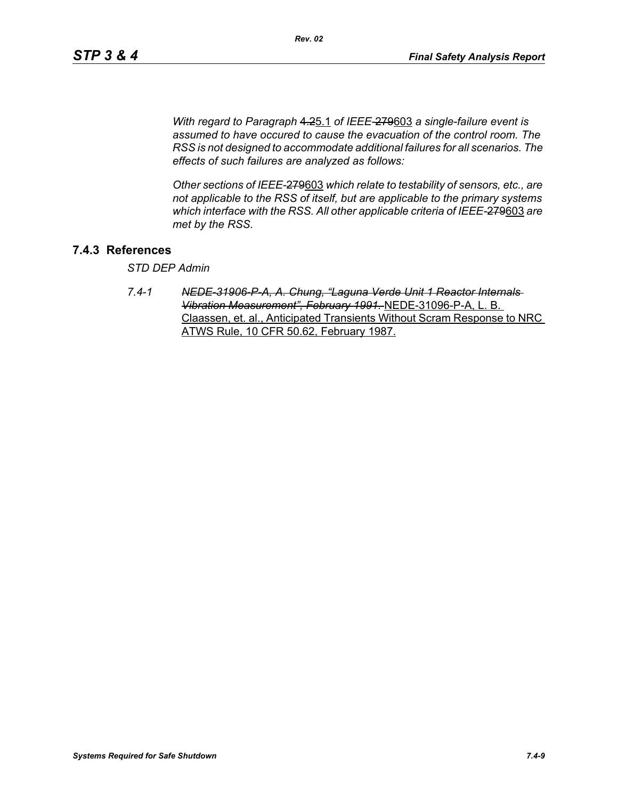*With regard to Paragraph* 4.25.1 *of IEEE-*279603 *a single-failure event is assumed to have occured to cause the evacuation of the control room. The RSS is not designed to accommodate additional failures for all scenarios. The effects of such failures are analyzed as follows:*

*Other sections of IEEE-*279603 *which relate to testability of sensors, etc., are not applicable to the RSS of itself, but are applicable to the primary systems which interface with the RSS. All other applicable criteria of IEEE-*279603 *are met by the RSS.*

# **7.4.3 References**

*STD DEP Admin*

*7.4-1 NEDE-31906-P-A, A. Chung, "Laguna Verde Unit 1 Reactor Internals Vibration Measurement", February 1991.* NEDE-31096-P-A, L. B. Claassen, et. al., Anticipated Transients Without Scram Response to NRC ATWS Rule, 10 CFR 50.62, February 1987.